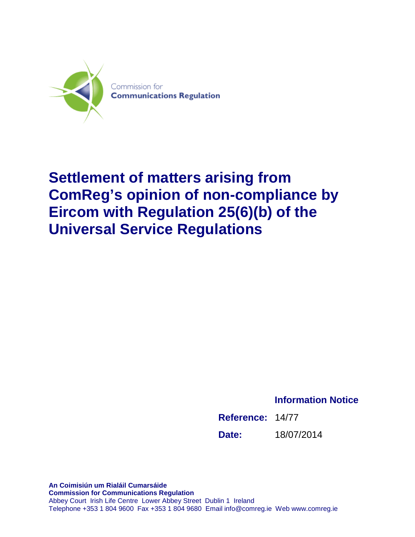

# **Settlement of matters arising from ComReg's opinion of non-compliance by Eircom with Regulation 25(6)(b) of the Universal Service Regulations**

**Information Notice**

<span id="page-0-0"></span>

| Reference: 14/77 |            |
|------------------|------------|
| Date:            | 18/07/2014 |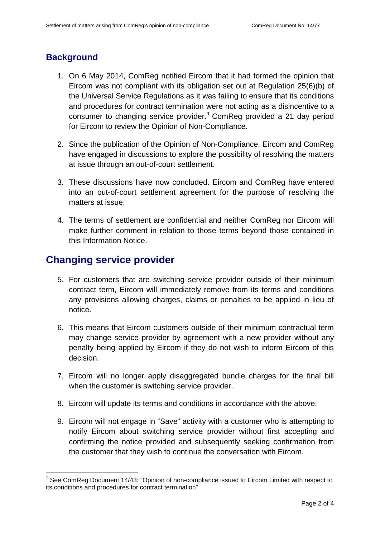#### **Background**

- 1. On 6 May 2014, ComReg notified Eircom that it had formed the opinion that Eircom was not compliant with its obligation set out at Regulation 25(6)(b) of the Universal Service Regulations as it was failing to ensure that its conditions and procedures for contract termination were not acting as a disincentive to a consumer to changing service provider.<sup>[1](#page-0-0)</sup> ComReg provided a 21 day period for Eircom to review the Opinion of Non-Compliance.
- 2. Since the publication of the Opinion of Non-Compliance, Eircom and ComReg have engaged in discussions to explore the possibility of resolving the matters at issue through an out-of-court settlement.
- 3. These discussions have now concluded. Eircom and ComReg have entered into an out-of-court settlement agreement for the purpose of resolving the matters at issue.
- 4. The terms of settlement are confidential and neither ComReg nor Eircom will make further comment in relation to those terms beyond those contained in this Information Notice.

#### **Changing service provider**

<u>.</u>

- 5. For customers that are switching service provider outside of their minimum contract term, Eircom will immediately remove from its terms and conditions any provisions allowing charges, claims or penalties to be applied in lieu of notice.
- 6. This means that Eircom customers outside of their minimum contractual term may change service provider by agreement with a new provider without any penalty being applied by Eircom if they do not wish to inform Eircom of this decision.
- 7. Eircom will no longer apply disaggregated bundle charges for the final bill when the customer is switching service provider.
- 8. Eircom will update its terms and conditions in accordance with the above.
- 9. Eircom will not engage in "Save" activity with a customer who is attempting to notify Eircom about switching service provider without first accepting and confirming the notice provided and subsequently seeking confirmation from the customer that they wish to continue the conversation with Eircom.

 $1$  See ComReg Document 14/43: "Opinion of non-compliance issued to Eircom Limited with respect to its conditions and procedures for contract termination"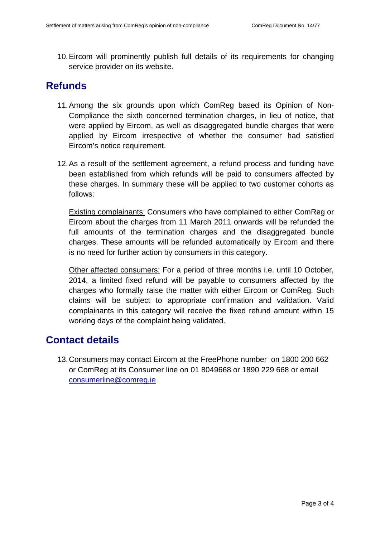10.Eircom will prominently publish full details of its requirements for changing service provider on its website.

## **Refunds**

- 11.Among the six grounds upon which ComReg based its Opinion of Non-Compliance the sixth concerned termination charges, in lieu of notice, that were applied by Eircom, as well as disaggregated bundle charges that were applied by Eircom irrespective of whether the consumer had satisfied Eircom's notice requirement.
- 12.As a result of the settlement agreement, a refund process and funding have been established from which refunds will be paid to consumers affected by these charges. In summary these will be applied to two customer cohorts as follows:

Existing complainants: Consumers who have complained to either ComReg or Eircom about the charges from 11 March 2011 onwards will be refunded the full amounts of the termination charges and the disaggregated bundle charges. These amounts will be refunded automatically by Eircom and there is no need for further action by consumers in this category.

Other affected consumers: For a period of three months i.e. until 10 October, 2014, a limited fixed refund will be payable to consumers affected by the charges who formally raise the matter with either Eircom or ComReg. Such claims will be subject to appropriate confirmation and validation. Valid complainants in this category will receive the fixed refund amount within 15 working days of the complaint being validated.

### **Contact details**

13.Consumers may contact Eircom at the FreePhone number on 1800 200 662 or ComReg at its Consumer line on 01 8049668 or 1890 229 668 or email [consumerline@comreg.ie](mailto:consumerline@comreg.ie)